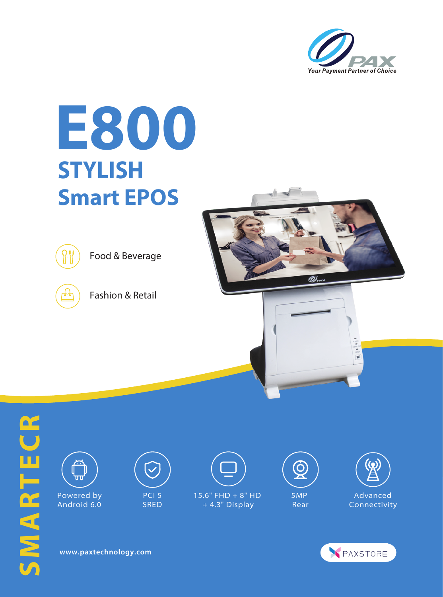

## **E800 STYLISH Smart EPOS**



Food & Beverage



Fashion & Retail









Powered by Android 6.0



 PCI 5 **SRED** 



+ 4.3" Display





Advanced Connectivity



**www.paxtechnology.com**